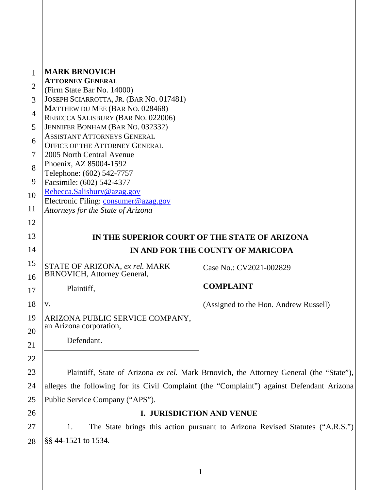| 1              | <b>MARK BRNOVICH</b>                                                   |                                                                                        |
|----------------|------------------------------------------------------------------------|----------------------------------------------------------------------------------------|
|                | <b>ATTORNEY GENERAL</b>                                                |                                                                                        |
| $\overline{2}$ | (Firm State Bar No. 14000)                                             |                                                                                        |
| 3              | JOSEPH SCIARROTTA, JR. (BAR NO. 017481)                                |                                                                                        |
| $\overline{4}$ | MATTHEW DU MEE (BAR NO. 028468)                                        |                                                                                        |
|                | REBECCA SALISBURY (BAR NO. 022006)                                     |                                                                                        |
| 5              | JENNIFER BONHAM (BAR NO. 032332)<br><b>ASSISTANT ATTORNEYS GENERAL</b> |                                                                                        |
| 6              | OFFICE OF THE ATTORNEY GENERAL                                         |                                                                                        |
| 7              | 2005 North Central Avenue                                              |                                                                                        |
|                | Phoenix, AZ 85004-1592                                                 |                                                                                        |
| 8              | Telephone: (602) 542-7757                                              |                                                                                        |
| 9              | Facsimile: (602) 542-4377                                              |                                                                                        |
| 10             | Rebecca.Salisbury@azag.gov                                             |                                                                                        |
|                | Electronic Filing: consumer@azag.gov                                   |                                                                                        |
| 11             | Attorneys for the State of Arizona                                     |                                                                                        |
| 12             |                                                                        |                                                                                        |
| 13             | IN THE SUPERIOR COURT OF THE STATE OF ARIZONA                          |                                                                                        |
| 14             |                                                                        | IN AND FOR THE COUNTY OF MARICOPA                                                      |
| 15             | STATE OF ARIZONA, ex rel. MARK                                         | Case No.: CV2021-002829                                                                |
| 16             | <b>BRNOVICH, Attorney General,</b>                                     |                                                                                        |
| 17             | Plaintiff,                                                             | <b>COMPLAINT</b>                                                                       |
| 18             | V.                                                                     | (Assigned to the Hon. Andrew Russell)                                                  |
| 19             | ARIZONA PUBLIC SERVICE COMPANY,                                        |                                                                                        |
| 20             | an Arizona corporation,                                                |                                                                                        |
| 21             | Defendant.                                                             |                                                                                        |
| 22             |                                                                        |                                                                                        |
| 23             |                                                                        | Plaintiff, State of Arizona ex rel. Mark Brnovich, the Attorney General (the "State"), |
|                |                                                                        |                                                                                        |

24 25 alleges the following for its Civil Complaint (the "Complaint") against Defendant Arizona Public Service Company ("APS").

26

27

28

# **I. JURISDICTION AND VENUE**

1. The State brings this action pursuant to Arizona Revised Statutes ("A.R.S.") §§ 44-1521 to 1534.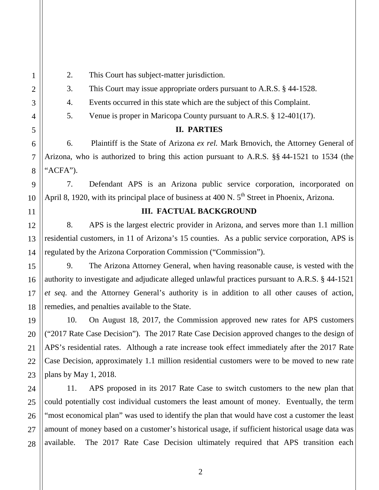2. This Court has subject-matter jurisdiction.

3. This Court may issue appropriate orders pursuant to A.R.S. § 44-1528.

4. Events occurred in this state which are the subject of this Complaint.

5. Venue is proper in Maricopa County pursuant to A.R.S. § 12-401(17).

# **II. PARTIES**

6. Plaintiff is the State of Arizona *ex rel.* Mark Brnovich, the Attorney General of Arizona, who is authorized to bring this action pursuant to A.R.S. §§ 44-1521 to 1534 (the "ACFA").

7. Defendant APS is an Arizona public service corporation, incorporated on April 8, 1920, with its principal place of business at  $400 \text{ N}$ .  $5^{\text{th}}$  Street in Phoenix, Arizona.

# **III. FACTUAL BACKGROUND**

8. APS is the largest electric provider in Arizona, and serves more than 1.1 million residential customers, in 11 of Arizona's 15 counties. As a public service corporation, APS is regulated by the Arizona Corporation Commission ("Commission").

9. The Arizona Attorney General, when having reasonable cause, is vested with the authority to investigate and adjudicate alleged unlawful practices pursuant to A.R.S. § 44-1521 *et seq.* and the Attorney General's authority is in addition to all other causes of action, remedies, and penalties available to the State.

10. On August 18, 2017, the Commission approved new rates for APS customers ("2017 Rate Case Decision"). The 2017 Rate Case Decision approved changes to the design of APS's residential rates. Although a rate increase took effect immediately after the 2017 Rate Case Decision, approximately 1.1 million residential customers were to be moved to new rate plans by May 1, 2018.

11. APS proposed in its 2017 Rate Case to switch customers to the new plan that could potentially cost individual customers the least amount of money. Eventually, the term "most economical plan" was used to identify the plan that would have cost a customer the least amount of money based on a customer's historical usage, if sufficient historical usage data was available. The 2017 Rate Case Decision ultimately required that APS transition each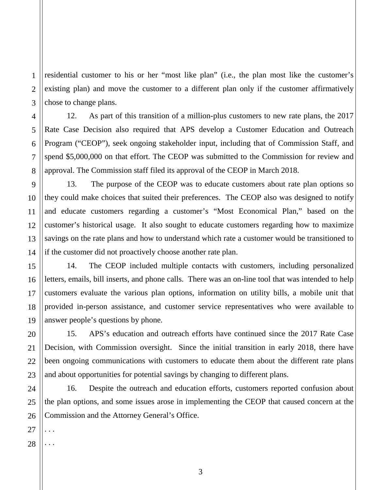residential customer to his or her "most like plan" (i.e., the plan most like the customer's existing plan) and move the customer to a different plan only if the customer affirmatively chose to change plans.

12. As part of this transition of a million-plus customers to new rate plans, the 2017 Rate Case Decision also required that APS develop a Customer Education and Outreach Program ("CEOP"), seek ongoing stakeholder input, including that of Commission Staff, and spend \$5,000,000 on that effort. The CEOP was submitted to the Commission for review and approval. The Commission staff filed its approval of the CEOP in March 2018.

13. The purpose of the CEOP was to educate customers about rate plan options so they could make choices that suited their preferences. The CEOP also was designed to notify and educate customers regarding a customer's "Most Economical Plan," based on the customer's historical usage. It also sought to educate customers regarding how to maximize savings on the rate plans and how to understand which rate a customer would be transitioned to if the customer did not proactively choose another rate plan.

14. The CEOP included multiple contacts with customers, including personalized letters, emails, bill inserts, and phone calls. There was an on-line tool that was intended to help customers evaluate the various plan options, information on utility bills, a mobile unit that provided in-person assistance, and customer service representatives who were available to answer people's questions by phone.

15. APS's education and outreach efforts have continued since the 2017 Rate Case Decision, with Commission oversight. Since the initial transition in early 2018, there have been ongoing communications with customers to educate them about the different rate plans and about opportunities for potential savings by changing to different plans.

24 26 16. Despite the outreach and education efforts, customers reported confusion about the plan options, and some issues arose in implementing the CEOP that caused concern at the Commission and the Attorney General's Office.

3

27 . . .

1

2

3

4

5

6

7

8

9

10

11

12

13

14

15

16

17

18

19

20

21

22

23

25

28 . . .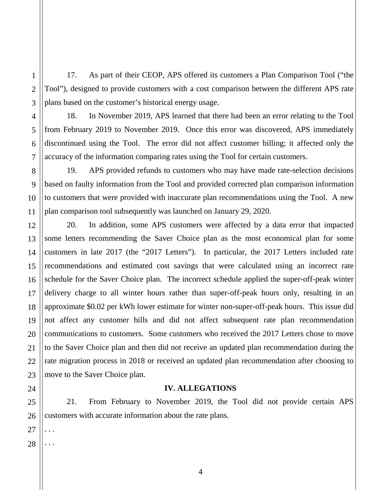17. As part of their CEOP, APS offered its customers a Plan Comparison Tool ("the Tool"), designed to provide customers with a cost comparison between the different APS rate plans based on the customer's historical energy usage.

18. In November 2019, APS learned that there had been an error relating to the Tool from February 2019 to November 2019. Once this error was discovered, APS immediately discontinued using the Tool. The error did not affect customer billing; it affected only the accuracy of the information comparing rates using the Tool for certain customers.

19. APS provided refunds to customers who may have made rate-selection decisions based on faulty information from the Tool and provided corrected plan comparison information to customers that were provided with inaccurate plan recommendations using the Tool. A new plan comparison tool subsequently was launched on January 29, 2020.

20. In addition, some APS customers were affected by a data error that impacted some letters recommending the Saver Choice plan as the most economical plan for some customers in late 2017 (the "2017 Letters"). In particular, the 2017 Letters included rate recommendations and estimated cost savings that were calculated using an incorrect rate schedule for the Saver Choice plan. The incorrect schedule applied the super-off-peak winter delivery charge to all winter hours rather than super-off-peak hours only, resulting in an approximate \$0.02 per kWh lower estimate for winter non-super-off-peak hours. This issue did not affect any customer bills and did not affect subsequent rate plan recommendation communications to customers. Some customers who received the 2017 Letters chose to move to the Saver Choice plan and then did not receive an updated plan recommendation during the rate migration process in 2018 or received an updated plan recommendation after choosing to move to the Saver Choice plan.

### **IV. ALLEGATIONS**

21. From February to November 2019, the Tool did not provide certain APS customers with accurate information about the rate plans.

27 . . .

1

2

3

4

5

6

7

8

9

10

11

12

13

14

15

16

17

18

19

20

21

22

23

24

25

26

28 . . .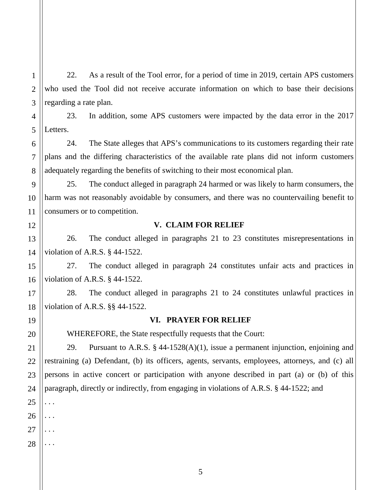22. As a result of the Tool error, for a period of time in 2019, certain APS customers who used the Tool did not receive accurate information on which to base their decisions regarding a rate plan.

23. In addition, some APS customers were impacted by the data error in the 2017 Letters.

24. The State alleges that APS's communications to its customers regarding their rate plans and the differing characteristics of the available rate plans did not inform customers adequately regarding the benefits of switching to their most economical plan.

25. The conduct alleged in paragraph 24 harmed or was likely to harm consumers, the harm was not reasonably avoidable by consumers, and there was no countervailing benefit to consumers or to competition.

#### 12

1

2

3

4

5

6

7

8

9

10

11

13

14

15

16

17

18

19

20

21

22

23

# **V. CLAIM FOR RELIEF**

26. The conduct alleged in paragraphs 21 to 23 constitutes misrepresentations in violation of A.R.S. § 44-1522.

27. The conduct alleged in paragraph 24 constitutes unfair acts and practices in violation of A.R.S. § 44-1522.

28. The conduct alleged in paragraphs 21 to 24 constitutes unlawful practices in violation of A.R.S. §§ 44-1522.

### **VI. PRAYER FOR RELIEF**

WHEREFORE, the State respectfully requests that the Court:

29. Pursuant to A.R.S. § 44-1528(A)(1), issue a permanent injunction, enjoining and restraining (a) Defendant, (b) its officers, agents, servants, employees, attorneys, and (c) all persons in active concert or participation with anyone described in part (a) or (b) of this paragraph, directly or indirectly, from engaging in violations of A.R.S. § 44-1522; and

. . .

. . .

. . .

28 . . .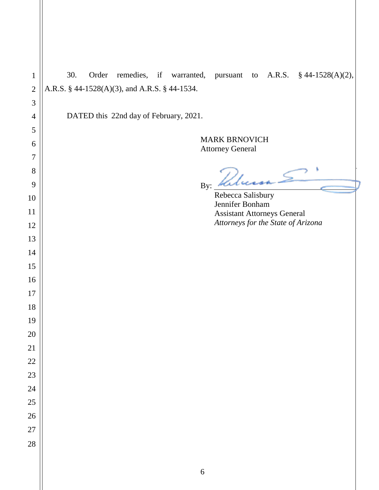| $\mathbf{1}$   | Order remedies, if warranted, pursuant to A.R.S. § 44-1528(A)(2),<br>30. |
|----------------|--------------------------------------------------------------------------|
| $\mathbf{2}$   | A.R.S. § 44-1528(A)(3), and A.R.S. § 44-1534.                            |
| 3              |                                                                          |
| $\overline{4}$ | DATED this 22nd day of February, 2021.                                   |
| 5              |                                                                          |
| 6              | <b>MARK BRNOVICH</b><br><b>Attorney General</b>                          |
| 7              |                                                                          |
| 8              |                                                                          |
| 9              | By:                                                                      |
| 10             | Rebecca Salisbury<br>Jennifer Bonham                                     |
| 11             | <b>Assistant Attorneys General</b><br>Attorneys for the State of Arizona |
| 12             |                                                                          |
| 13             |                                                                          |
| 14             |                                                                          |
| 15<br>16       |                                                                          |
| 17             |                                                                          |
| 18             |                                                                          |
| 19             |                                                                          |
| 20             |                                                                          |
| 21             |                                                                          |
| 22             |                                                                          |
| 23             |                                                                          |
| 24             |                                                                          |
| 25             |                                                                          |
| 26             |                                                                          |
| 27             |                                                                          |
| 28             |                                                                          |
|                |                                                                          |
|                | $\sqrt{6}$                                                               |

Ш